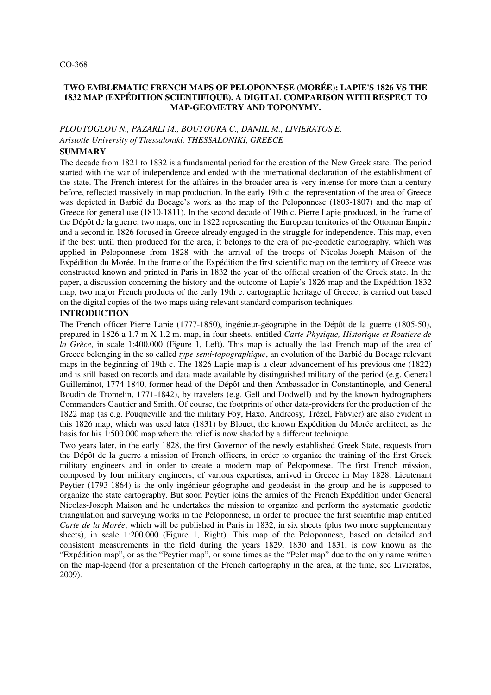#### CO-368

## **TWO EMBLEMATIC FRENCH MAPS OF PELOPONNESE (MORÉE): LAPIE'S 1826 VS THE 1832 MAP (EXPÉDITION SCIENTIFIQUE). A DIGITAL COMPARISON WITH RESPECT TO MAP-GEOMETRY AND TOPONYMY.**

# *PLOUTOGLOU N., PAZARLI M., BOUTOURA C., DANIIL M., LIVIERATOS E. Aristotle University of Thessaloniki, THESSALONIKI, GREECE*

# **SUMMARY**

The decade from 1821 to 1832 is a fundamental period for the creation of the New Greek state. The period started with the war of independence and ended with the international declaration of the establishment of the state. The French interest for the affaires in the broader area is very intense for more than a century before, reflected massively in map production. In the early 19th c. the representation of the area of Greece was depicted in Barbié du Bocage's work as the map of the Peloponnese (1803-1807) and the map of Greece for general use (1810-1811). In the second decade of 19th c. Pierre Lapie produced, in the frame of the Dépôt de la guerre, two maps, one in 1822 representing the European territories of the Ottoman Empire and a second in 1826 focused in Greece already engaged in the struggle for independence. This map, even if the best until then produced for the area, it belongs to the era of pre-geodetic cartography, which was applied in Peloponnese from 1828 with the arrival of the troops of Nicolas-Joseph Maison of the Expédition du Morée. In the frame of the Expédition the first scientific map on the territory of Greece was constructed known and printed in Paris in 1832 the year of the official creation of the Greek state. In the paper, a discussion concerning the history and the outcome of Lapie's 1826 map and the Expédition 1832 map, two major French products of the early 19th c. cartographic heritage of Greece, is carried out based on the digital copies of the two maps using relevant standard comparison techniques.

## **INTRODUCTION**

The French officer Pierre Lapie (1777-1850), ingénieur-géographe in the Dépôt de la guerre (1805-50), prepared in 1826 a 1.7 m X 1.2 m. map, in four sheets, entitled *Carte Physique, Historique et Routiere de la Grèce*, in scale 1:400.000 (Figure 1, Left). This map is actually the last French map of the area of Greece belonging in the so called *type semi-topographique*, an evolution of the Barbié du Bocage relevant maps in the beginning of 19th c. The 1826 Lapie map is a clear advancement of his previous one (1822) and is still based on records and data made available by distinguished military of the period (e.g. General Guilleminot, 1774-1840, former head of the Dépôt and then Ambassador in Constantinople, and General Boudin de Tromelin, 1771-1842), by travelers (e.g. Gell and Dodwell) and by the known hydrographers Commanders Gauttier and Smith. Of course, the footprints of other data-providers for the production of the 1822 map (as e.g. Pouqueville and the military Foy, Haxo, Andreosy, Trézel, Fabvier) are also evident in this 1826 map, which was used later (1831) by Blouet, the known Expédition du Morée architect, as the basis for his 1:500.000 map where the relief is now shaded by a different technique.

Two years later, in the early 1828, the first Governor of the newly established Greek State, requests from the Dépôt de la guerre a mission of French officers, in order to organize the training of the first Greek military engineers and in order to create a modern map of Peloponnese. The first French mission, composed by four military engineers, of various expertises, arrived in Greece in May 1828. Lieutenant Peytier (1793-1864) is the only ingénieur-géographe and geodesist in the group and he is supposed to organize the state cartography. But soon Peytier joins the armies of the French Expédition under General Nicolas-Joseph Maison and he undertakes the mission to organize and perform the systematic geodetic triangulation and surveying works in the Peloponnese, in order to produce the first scientific map entitled *Carte de la Morée*, which will be published in Paris in 1832, in six sheets (plus two more supplementary sheets), in scale 1:200.000 (Figure 1, Right). This map of the Peloponnese, based on detailed and consistent measurements in the field during the years 1829, 1830 and 1831, is now known as the "Expédition map", or as the "Peytier map", or some times as the "Pelet map" due to the only name written on the map-legend (for a presentation of the French cartography in the area, at the time, see Livieratos, 2009).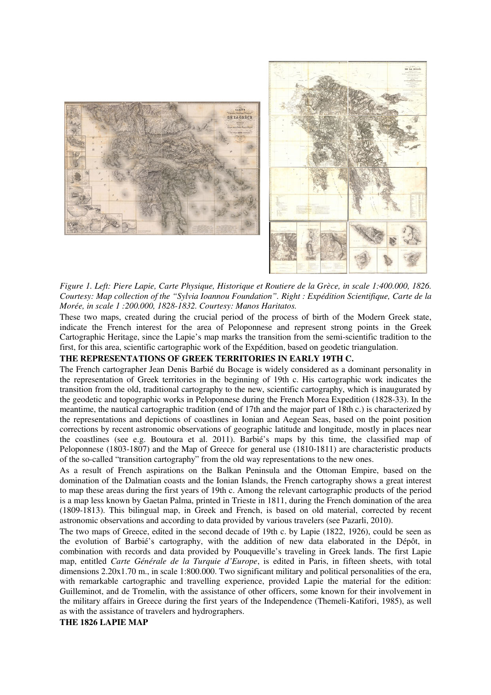



*Figure 1. Left: Piere Lapie, Carte Physique, Historique et Routiere de la Grèce, in scale 1:400.000, 1826. Courtesy: Map collection of the "Sylvia Ioannou Foundation". Right : Expédition Scientifique, Carte de la Morée, in scale 1 :200.000, 1828-1832. Courtesy: Manos Haritatos.*

These two maps, created during the crucial period of the process of birth of the Modern Greek state, indicate the French interest for the area of Peloponnese and represent strong points in the Greek Cartographic Heritage, since the Lapie's map marks the transition from the semi-scientific tradition to the first, for this area, scientific cartographic work of the Expédition, based on geodetic triangulation.

#### **THE REPRESENTATIONS OF GREEK TERRITORIES IN EARLY 19TH C.**

The French cartographer Jean Denis Barbié du Bocage is widely considered as a dominant personality in the representation of Greek territories in the beginning of 19th c. His cartographic work indicates the transition from the old, traditional cartography to the new, scientific cartography, which is inaugurated by the geodetic and topographic works in Peloponnese during the French Morea Expedition (1828-33). In the meantime, the nautical cartographic tradition (end of 17th and the major part of 18th c.) is characterized by the representations and depictions of coastlines in Ionian and Aegean Seas, based on the point position corrections by recent astronomic observations of geographic latitude and longitude, mostly in places near the coastlines (see e.g. Boutoura et al. 2011). Barbié's maps by this time, the classified map of Peloponnese (1803-1807) and the Map of Greece for general use (1810-1811) are characteristic products of the so-called "transition cartography" from the old way representations to the new ones.

As a result of French aspirations on the Balkan Peninsula and the Ottoman Empire, based on the domination of the Dalmatian coasts and the Ionian Islands, the French cartography shows a great interest to map these areas during the first years of 19th c. Among the relevant cartographic products of the period is a map less known by Gaetan Palma, printed in Trieste in 1811, during the French domination of the area (1809-1813). This bilingual map, in Greek and French, is based on old material, corrected by recent astronomic observations and according to data provided by various travelers (see Pazarli, 2010).

The two maps of Greece, edited in the second decade of 19th c. by Lapie (1822, 1926), could be seen as the evolution of Barbié's cartography, with the addition of new data elaborated in the Dépôt, in combination with records and data provided by Pouqueville's traveling in Greek lands. The first Lapie map, entitled *Carte Générale de la Turquie d'Europe*, is edited in Paris, in fifteen sheets, with total dimensions 2.20x1.70 m., in scale 1:800.000. Two significant military and political personalities of the era, with remarkable cartographic and travelling experience, provided Lapie the material for the edition: Guilleminot, and de Tromelin, with the assistance of other officers, some known for their involvement in the military affairs in Greece during the first years of the Independence (Themeli-Katifori, 1985), as well as with the assistance of travelers and hydrographers.

#### **THE 1826 LAPIE MAP**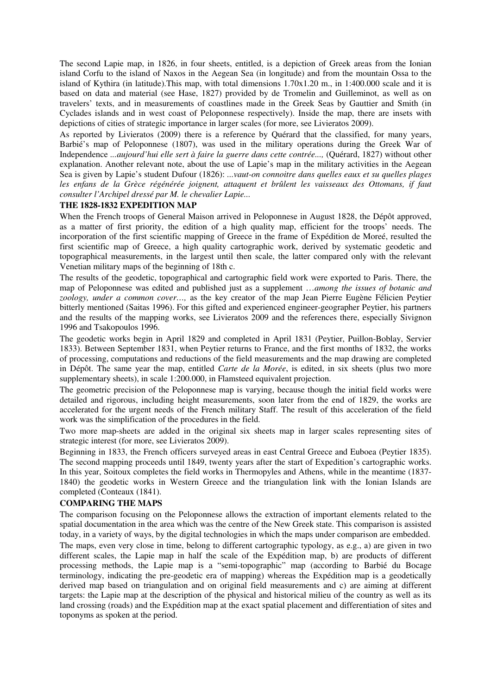The second Lapie map, in 1826, in four sheets, entitled, is a depiction of Greek areas from the Ionian island Corfu to the island of Naxos in the Aegean Sea (in longitude) and from the mountain Ossa to the island of Kythira (in latitude). This map, with total dimensions  $1.70x1.20$  m., in  $1:400.000$  scale and it is based on data and material (see Hase, 1827) provided by de Tromelin and Guilleminot, as well as on travelers' texts, and in measurements of coastlines made in the Greek Seas by Gauttier and Smith (in Cyclades islands and in west coast of Peloponnese respectively). Inside the map, there are insets with depictions of cities of strategic importance in larger scales (for more, see Livieratos 2009).

As reported by Livieratos (2009) there is a reference by Quérard that the classified, for many years, Barbié's map of Peloponnese (1807), was used in the military operations during the Greek War of Independence *...aujourd'hui elle sert à faire la guerre dans cette contrée...,* (Quérard, 1827) without other explanation. Another relevant note, about the use of Lapie's map in the military activities in the Aegean Sea is given by Lapie's student Dufour (1826): *...vaut-on connoitre dans quelles eaux et su quelles plages*  les enfans de la Grèce régénérée joignent, attaquent et brûlent les vaisseaux des Ottomans, if faut *consulter l'Archipel dressé par M. le chevalier Lapie...*

## **THE 1828-1832 EXPEDITION MAP**

When the French troops of General Maison arrived in Peloponnese in August 1828, the Dépôt approved, as a matter of first priority, the edition of a high quality map, efficient for the troops' needs. The incorporation of the first scientific mapping of Greece in the frame of Expédition de Moreé, resulted the first scientific map of Greece, a high quality cartographic work, derived by systematic geodetic and topographical measurements, in the largest until then scale, the latter compared only with the relevant Venetian military maps of the beginning of 18th c.

The results of the geodetic, topographical and cartographic field work were exported to Paris. There, the map of Peloponnese was edited and published just as a supplement …*among the issues of botanic and zoology, under a common cover…,* as the key creator of the map Jean Pierre Eugène Félicien Peytier bitterly mentioned (Saitas 1996). For this gifted and experienced engineer-geographer Peytier, his partners and the results of the mapping works, see Livieratos 2009 and the references there, especially Sivignon 1996 and Tsakopoulos 1996.

The geodetic works begin in April 1829 and completed in April 1831 (Peytier, Puillon-Boblay, Servier 1833). Between September 1831, when Peytier returns to France, and the first months of 1832, the works of processing, computations and reductions of the field measurements and the map drawing are completed in Dépôt. The same year the map, entitled *Carte de la Morée*, is edited, in six sheets (plus two more supplementary sheets), in scale 1:200.000, in Flamsteed equivalent projection.

The geometric precision of the Peloponnese map is varying, because though the initial field works were detailed and rigorous, including height measurements, soon later from the end of 1829, the works are accelerated for the urgent needs of the French military Staff. The result of this acceleration of the field work was the simplification of the procedures in the field.

Two more map-sheets are added in the original six sheets map in larger scales representing sites of strategic interest (for more, see Livieratos 2009).

Beginning in 1833, the French officers surveyed areas in east Central Greece and Euboea (Peytier 1835). The second mapping proceeds until 1849, twenty years after the start of Expedition's cartographic works. In this year, Soitoux completes the field works in Thermopyles and Athens, while in the meantime (1837-1840) the geodetic works in Western Greece and the triangulation link with the Ionian Islands are completed (Conteaux (1841).

#### **COMPARING THE MAPS**

The comparison focusing on the Peloponnese allows the extraction of important elements related to the spatial documentation in the area which was the centre of the New Greek state. This comparison is assisted today, in a variety of ways, by the digital technologies in which the maps under comparison are embedded. The maps, even very close in time, belong to different cartographic typology, as e.g., a) are given in two different scales, the Lapie map in half the scale of the Expédition map, b) are products of different processing methods, the Lapie map is a "semi-topographic" map (according to Barbié du Bocage terminology, indicating the pre-geodetic era of mapping) whereas the Expédition map is a geodetically derived map based on triangulation and on original field measurements and c) are aiming at different targets: the Lapie map at the description of the physical and historical milieu of the country as well as its land crossing (roads) and the Expédition map at the exact spatial placement and differentiation of sites and toponyms as spoken at the period.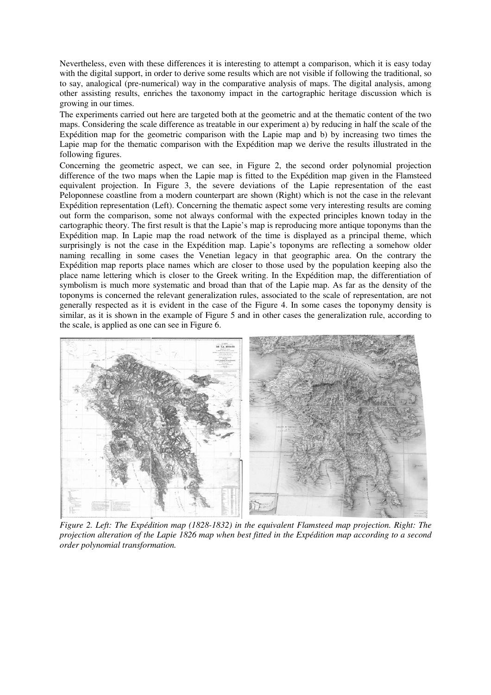Nevertheless, even with these differences it is interesting to attempt a comparison, which it is easy today with the digital support, in order to derive some results which are not visible if following the traditional, so to say, analogical (pre-numerical) way in the comparative analysis of maps. The digital analysis, among other assisting results, enriches the taxonomy impact in the cartographic heritage discussion which is growing in our times.

The experiments carried out here are targeted both at the geometric and at the thematic content of the two maps. Considering the scale difference as treatable in our experiment a) by reducing in half the scale of the Expédition map for the geometric comparison with the Lapie map and b) by increasing two times the Lapie map for the thematic comparison with the Expédition map we derive the results illustrated in the following figures.

Concerning the geometric aspect, we can see, in Figure 2, the second order polynomial projection difference of the two maps when the Lapie map is fitted to the Expédition map given in the Flamsteed equivalent projection. In Figure 3, the severe deviations of the Lapie representation of the east Peloponnese coastline from a modern counterpart are shown (Right) which is not the case in the relevant Expédition representation (Left). Concerning the thematic aspect some very interesting results are coming out form the comparison, some not always conformal with the expected principles known today in the cartographic theory. The first result is that the Lapie's map is reproducing more antique toponyms than the Expédition map. In Lapie map the road network of the time is displayed as a principal theme, which surprisingly is not the case in the Expédition map. Lapie's toponyms are reflecting a somehow older naming recalling in some cases the Venetian legacy in that geographic area. On the contrary the Expédition map reports place names which are closer to those used by the population keeping also the place name lettering which is closer to the Greek writing. In the Expédition map, the differentiation of symbolism is much more systematic and broad than that of the Lapie map. As far as the density of the toponyms is concerned the relevant generalization rules, associated to the scale of representation, are not generally respected as it is evident in the case of the Figure 4. In some cases the toponymy density is similar, as it is shown in the example of Figure 5 and in other cases the generalization rule, according to the scale, is applied as one can see in Figure 6.



*Figure 2. Left: The Expédition map (1828-1832) in the equivalent Flamsteed map projection. Right: The projection alteration of the Lapie 1826 map when best fitted in the Expédition map according to a second order polynomial transformation.*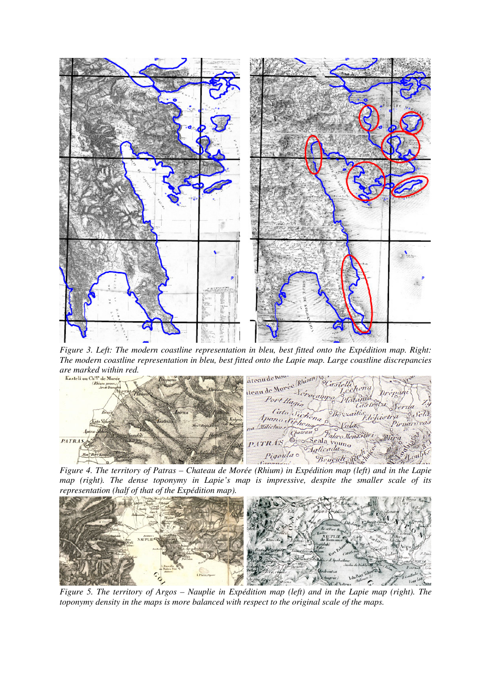

*Figure 3. Left: The modern coastline representation in bleu, best fitted onto the Expédition map. Right: The modern coastline representation in bleu, best fitted onto the Lapie map. Large coastline discrepancies are marked within red.*



*Figure 4. The territory of Patras – Chateau de Morée (Rhium) in Expédition map (left) and in the Lapie map (right). The dense toponymy in Lapie's map is impressive, despite the smaller scale of its representation (half of that of the Expédition map).*



*Figure 5. The territory of Argos – Nauplie in Expédition map (left) and in the Lapie map (right). The toponymy density in the maps is more balanced with respect to the original scale of the maps.*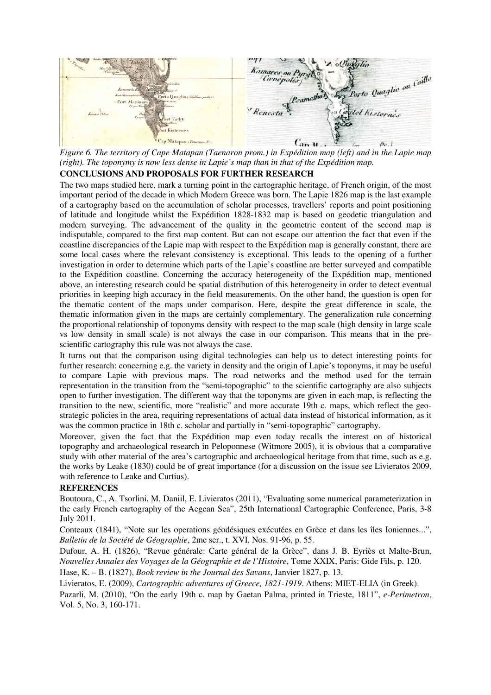

*Figure 6. The territory of Cape Matapan (Taenaron prom.) in Expédition map (left) and in the Lapie map (right). The toponymy is now less dense in Lapie's map than in that of the Expédition map.*

# **CONCLUSIONS AND PROPOSALS FOR FURTHER RESEARCH**

The two maps studied here, mark a turning point in the cartographic heritage, of French origin, of the most important period of the decade in which Modern Greece was born. The Lapie 1826 map is the last example of a cartography based on the accumulation of scholar processes, travellers' reports and point positioning of latitude and longitude whilst the Expédition 1828-1832 map is based on geodetic triangulation and modern surveying. The advancement of the quality in the geometric content of the second map is indisputable, compared to the first map content. But can not escape our attention the fact that even if the coastline discrepancies of the Lapie map with respect to the Expédition map is generally constant, there are some local cases where the relevant consistency is exceptional. This leads to the opening of a further investigation in order to determine which parts of the Lapie's coastline are better surveyed and compatible to the Expédition coastline. Concerning the accuracy heterogeneity of the Expédition map, mentioned above, an interesting research could be spatial distribution of this heterogeneity in order to detect eventual priorities in keeping high accuracy in the field measurements. On the other hand, the question is open for the thematic content of the maps under comparison. Here, despite the great difference in scale, the thematic information given in the maps are certainly complementary. The generalization rule concerning the proportional relationship of toponyms density with respect to the map scale (high density in large scale vs low density in small scale) is not always the case in our comparison. This means that in the prescientific cartography this rule was not always the case.

It turns out that the comparison using digital technologies can help us to detect interesting points for further research: concerning e.g. the variety in density and the origin of Lapie's toponyms, it may be useful to compare Lapie with previous maps. The road networks and the method used for the terrain representation in the transition from the "semi-topographic" to the scientific cartography are also subjects open to further investigation. The different way that the toponyms are given in each map, is reflecting the transition to the new, scientific, more "realistic" and more accurate 19th c. maps, which reflect the geostrategic policies in the area, requiring representations of actual data instead of historical information, as it was the common practice in 18th c. scholar and partially in "semi-topographic" cartography.

Moreover, given the fact that the Expédition map even today recalls the interest on of historical topography and archaeological research in Peloponnese (Witmore 2005), it is obvious that a comparative study with other material of the area's cartographic and archaeological heritage from that time, such as e.g. the works by Leake (1830) could be of great importance (for a discussion on the issue see Livieratos 2009, with reference to Leake and Curtius).

# **REFERENCES**

Boutoura, C., A. Tsorlini, M. Daniil, E. Livieratos (2011), "Evaluating some numerical parameterization in the early French cartography of the Aegean Sea", 25th International Cartographic Conference, Paris, 3-8 July 2011.

Conteaux (1841), "Note sur les operations géodésiques exécutées en Grèce et dans les îles Ioniennes...", *Bulletin de la Société de Géographie*, 2me ser., t. XVI, Nos. 91-96, p. 55.

Dufour, A. H. (1826), "Revue générale: Carte général de la Grèce", dans J. B. Eyriès et Malte-Brun, *Nouvelles Annales des Voyages de la Géographie et de l'Histoire*, Tome XXIX, Paris: Gide Fils, p. 120.

Hase, K. – B. (1827), *Book review in the Journal des Savans*, Janvier 1827, p. 13.

Livieratos, E. (2009), *Cartographic adventures of Greece, 1821-1919*. Athens: MIET-ELIA (in Greek).

Pazarli, M. (2010), "On the early 19th c. map by Gaetan Palma, printed in Trieste, 1811", *e-Perimetron*, Vol. 5, No. 3, 160-171.